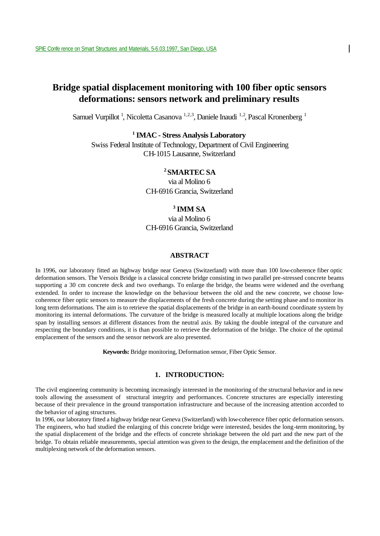# **Bridge spatial displacement monitoring with 100 fiber optic sensors deformations: sensors network and preliminary results**

Samuel Vurpillot<sup>1</sup>, Nicoletta Casanova<sup>1,2,3</sup>, Daniele Inaudi<sup>1,2</sup>, Pascal Kronenberg<sup>1</sup>

**<sup>1</sup>IMAC - Stress Analysis Laboratory**

Swiss Federal Institute of Technology, Department of Civil Engineering CH-1015 Lausanne, Switzerland

# **<sup>2</sup>SMARTEC SA**

via al Molino 6 CH-6916 Grancia, Switzerland

# **<sup>3</sup>IMM SA**

via al Molino 6 CH-6916 Grancia, Switzerland

### **ABSTRACT**

In 1996, our laboratory fitted an highway bridge near Geneva (Switzerland) with more than 100 low-coherence fiber optic deformation sensors. The Versoix Bridge is a classical concrete bridge consisting in two parallel pre-stressed concrete beams supporting a 30 cm concrete deck and two overhangs. To enlarge the bridge, the beams were widened and the overhang extended. In order to increase the knowledge on the behaviour between the old and the new concrete, we choose lowcoherence fiber optic sensors to measure the displacements of the fresh concrete during the setting phase and to monitor its long term deformations. The aim is to retrieve the spatial displacements of the bridge in an earth-bound coordinate system by monitoring its internal deformations. The curvature of the bridge is measured locally at multiple locations along the bridge span by installing sensors at different distances from the neutral axis. By taking the double integral of the curvature and respecting the boundary conditions, it is than possible to retrieve the deformation of the bridge. The choice of the optimal emplacement of the sensors and the sensor network are also presented.

**Keywords:** Bridge monitoring, Deformation sensor, Fiber Optic Sensor.

# **1. INTRODUCTION:**

The civil engineering community is becoming increasingly interested in the monitoring of the structural behavior and in new tools allowing the assessment of structural integrity and performances. Concrete structures are especially interesting because of their prevalence in the ground transportation infrastructure and because of the increasing attention accorded to the behavior of aging structures.

In 1996, our laboratory fitted a highway bridge near Geneva (Switzerland) with low-coherence fiber optic deformation sensors. The engineers, who had studied the enlarging of this concrete bridge were interested, besides the long-term monitoring, by the spatial displacement of the bridge and the effects of concrete shrinkage between the old part and the new part of the bridge. To obtain reliable measurements, special attention was given to the design, the emplacement and the definition of the multiplexing network of the deformation sensors.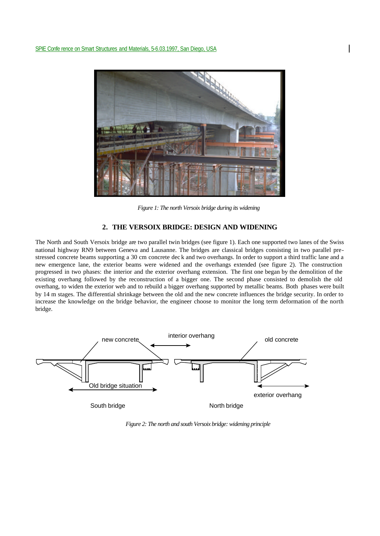

*Figure 1: The north Versoix bridge during its widening*

## **2. THE VERSOIX BRIDGE: DESIGN AND WIDENING**

The North and South Versoix bridge are two parallel twin bridges (see figure 1). Each one supported two lanes of the Swiss national highway RN9 between Geneva and Lausanne. The bridges are classical bridges consisting in two parallel prestressed concrete beams supporting a 30 cm concrete dec k and two overhangs. In order to support a third traffic lane and a new emergence lane, the exterior beams were widened and the overhangs extended (see figure 2). The construction progressed in two phases: the interior and the exterior overhang extension. The first one began by the demolition of the existing overhang followed by the reconstruction of a bigger one. The second phase consisted to demolish the old overhang, to widen the exterior web and to rebuild a bigger overhang supported by metallic beams. Both phases were built by 14 m stages. The differential shrinkage between the old and the new concrete influences the bridge security. In order to increase the knowledge on the bridge behavior, the engineer choose to monitor the long term deformation of the north bridge.



*Figure 2: The north and south Versoix bridge: widening principle*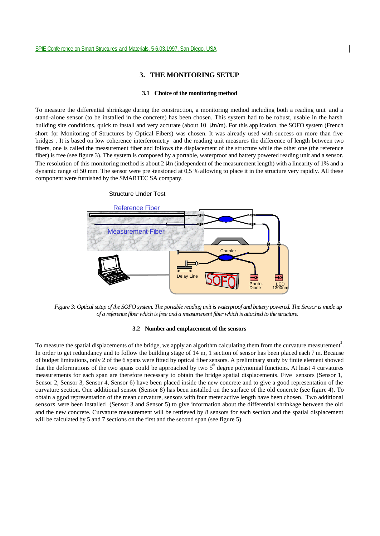Structure Under Test

### **3. THE MONITORING SETUP**

#### **3.1 Choice of the monitoring method**

To measure the differential shrinkage during the construction, a monitoring method including both a reading unit and a stand-alone sensor (to be installed in the concrete) has been chosen. This system had to be robust, usable in the harsh building site conditions, quick to install and very accurate (about 10 μm/m). For this application, the SOFO system (French short for Monitoring of Structures by Optical Fibers) was chosen. It was already used with success on more than five bridges<sup>1</sup>. It is based on low coherence interferometry and the reading unit measures the difference of length between two fibers, one is called the measurement fiber and follows the displacement of the structure while the other one (the reference fiber) is free (see figure 3). The system is composed by a portable, waterproof and battery powered reading unit and a sensor. The resolution of this monitoring method is about 2 μm (independent of the measurement length) with a linearity of 1% and a dynamic range of 50 mm. The sensor were pre -tensioned at 0,5 % allowing to place it in the structure very rapidly. All these component were furnished by the SMARTEC SA company.

# Reference Fiber Measurement Fiber Couple **Delay Line**  $+4$  $\overline{\mathsf{K}}$ Photo-Diode LED 1300nm

*Figure 3: Optical setup of the SOFO system. The portable reading unit is waterproof and battery powered. The Sensor is made up of a reference fiber which is free and a measurement fiber which is attached to the structure.*

### **3.2 Number and emplacement of the sensors**

To measure the spatial displacements of the bridge, we apply an algorithm calculating them from the curvature measurement<sup>2</sup>. In order to get redundancy and to follow the building stage of 14 m, 1 section of sensor has been placed each 7 m. Because of budget limitations, only 2 of the 6 spans were fitted by optical fiber sensors. A preliminary study by finite element showed that the deformations of the two spans could be approached by two  $5<sup>th</sup>$  degree polynomial functions. At least 4 curvatures measurements for each span are therefore necessary to obtain the bridge spatial displacements. Five sensors (Sensor 1, Sensor 2, Sensor 3, Sensor 4, Sensor 6) have been placed inside the new concrete and to give a good representation of the curvature section. One additional sensor (Sensor 8) has been installed on the surface of the old concrete (see figure 4). To obtain a ggod representation of the mean curvature, sensors with four meter active length have been chosen. Two additional sensors were been installed (Sensor 3 and Sensor 5) to give information about the differential shrinkage between the old and the new concrete. Curvature measurement will be retrieved by 8 sensors for each section and the spatial displacement will be calculated by 5 and 7 sections on the first and the second span (see figure 5).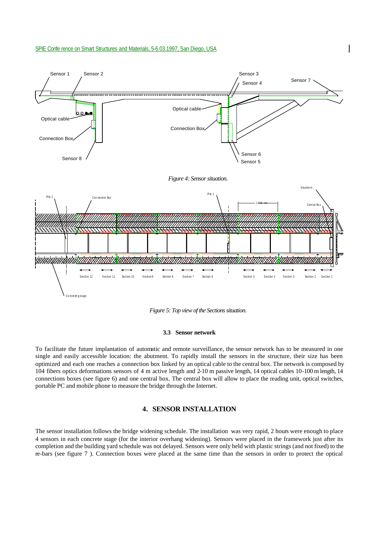



### **3.3 Sensor network**

To facilitate the future implantation of automatic and remote surveillance, the sensor network has to be measured in one single and easily accessible location: the abutment. To rapidly install the sensors in the structure, their size has been optimized and each one reaches a connection box linked by an optical cable to the central box. The network is composed by 104 fibers optics deformations sensors of 4 m active length and 2-10 m passive length, 14 optical cables 10-100 m length, 14 connections boxes (see figure 6) and one central box. The central box will allow to place the reading unit, optical switches, portable PC and mobile phone to measure the bridge through the Internet.

## **4. SENSOR INSTALLATION**

The sensor installation follows the bridge widening schedule. The installation was very rapid, 2 hours were enough to place 4 sensors in each concrete stage (for the interior overhang widening). Sensors were placed in the framework just after its completion and the building yard schedule was not delayed. Sensors were only held with plastic strings (and not fixed) to the re-bars (see figure 7 ). Connection boxes were placed at the same time than the sensors in order to protect the optical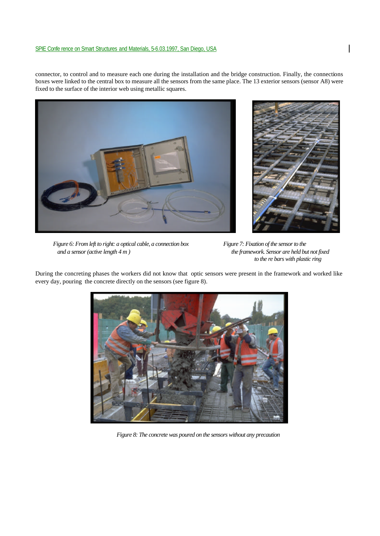connector, to control and to measure each one during the installation and the bridge construction. Finally, the connections boxes were linked to the central box to measure all the sensors from the same place. The 13 exterior sensors (sensor A8) were fixed to the surface of the interior web using metallic squares.





*Figure 6: From left to right: a optical cable, a connection box Figure 7: Fixation of the sensor to the and a sensor (active length 4 m ) the framework. Sensor are held but not fixed* 

*to the re bars with plastic ring*

During the concreting phases the workers did not know that optic sensors were present in the framework and worked like every day, pouring the concrete directly on the sensors (see figure 8).



*Figure 8: The concrete was poured on the sensors without any precaution*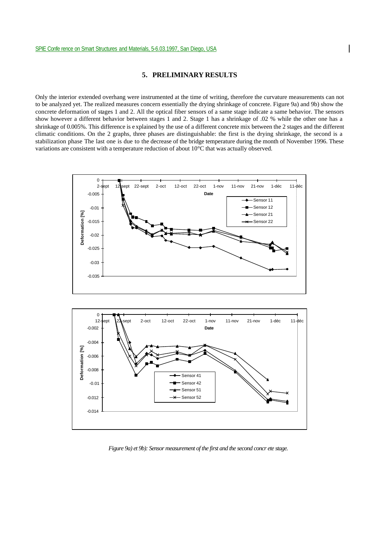# **5. PRELIMINARY RESULTS**

Only the interior extended overhang were instrumented at the time of writing, therefore the curvature measurements can not to be analyzed yet. The realized measures concern essentially the drying shrinkage of concrete. Figure 9a) and 9b) show the concrete deformation of stages 1 and 2. All the optical fiber sensors of a same stage indicate a same behavior. The sensors show however a different behavior between stages 1 and 2. Stage 1 has a shrinkage of .02 % while the other one has a shrinkage of 0.005%. This difference is e xplained by the use of a different concrete mix between the 2 stages and the different climatic conditions. On the 2 graphs, three phases are distinguishable: the first is the drying shrinkage, the second is a stabilization phase The last one is due to the decrease of the bridge temperature during the month of November 1996. These variations are consistent with a temperature reduction of about 10°C that was actually observed.



*Figure 9a) et 9b): Sensor measurement of the first and the second concr ete stage.*